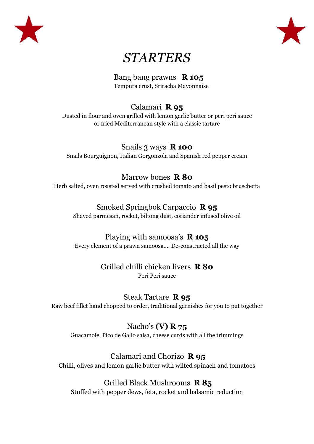



# *STARTERS*

Bang bang prawns **R 105** Tempura crust, Sriracha Mayonnaise

### Calamari **R 95**

Dusted in flour and oven grilled with lemon garlic butter or peri peri sauce or fried Mediterranean style with a classic tartare

### Snails 3 ways **R 100**

Snails Bourguignon, Italian Gorgonzola and Spanish red pepper cream

### Marrow bones **R 80**

Herb salted, oven roasted served with crushed tomato and basil pesto bruschetta

### Smoked Springbok Carpaccio **R 95**

Shaved parmesan, rocket, biltong dust, coriander infused olive oil

### Playing with samoosa's **R 105**

Every element of a prawn samoosa…. De-constructed all the way

#### Grilled chilli chicken livers **R 80** Peri Peri sauce

### Steak Tartare **R 95**

Raw beef fillet hand chopped to order, traditional garnishes for you to put together

### Nacho's **(V) R 75**

Guacamole, Pico de Gallo salsa, cheese curds with all the trimmings

### Calamari and Chorizo **R 95**

Chilli, olives and lemon garlic butter with wilted spinach and tomatoes

### Grilled Black Mushrooms **R 85**

Stuffed with pepper dews, feta, rocket and balsamic reduction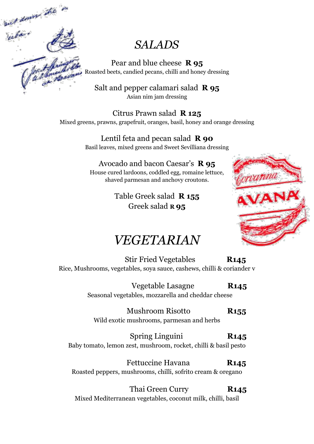, down the usa.<br>Vuba

### *SALADS*

Pear and blue cheese **R 95** Roasted beets, candied pecans, chilli and honey dressing

Salt and pepper calamari salad **R 95** Asian nim jam dressing

Citrus Prawn salad **R 125** Mixed greens, prawns, grapefruit, oranges, basil, honey and orange dressing

> Lentil feta and pecan salad **R 90** Basil leaves, mixed greens and Sweet Sevilliana dressing

Avocado and bacon Caesar's **R 95** House cured lardoons, coddled egg, romaine lettuce, shaved parmesan and anchovy croutons.

> Table Greek salad **R 155** Greek salad **R 95**



### *VEGETARIAN*

Stir Fried Vegetables **R145** Rice, Mushrooms, vegetables, soya sauce, cashews, chilli & coriander v

> Vegetable Lasagne **R145** Seasonal vegetables, mozzarella and cheddar cheese

 Mushroom Risotto **R155** Wild exotic mushrooms, parmesan and herbs

 Spring Linguini **R145** Baby tomato, lemon zest, mushroom, rocket, chilli & basil pesto

Fettuccine Havana **R145** Roasted peppers, mushrooms, chilli, sofrito cream & oregano

 Thai Green Curry **R145** Mixed Mediterranean vegetables, coconut milk, chilli, basil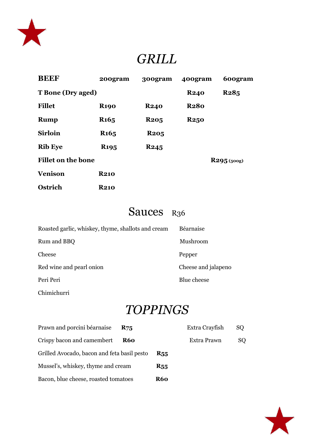

# *GRILL*

| <b>BEEF</b>               | 200gram                | 300gram     | 400gram     | 600gram     |
|---------------------------|------------------------|-------------|-------------|-------------|
| <b>T</b> Bone (Dry aged)  |                        |             | <b>R240</b> | <b>R285</b> |
| <b>Fillet</b>             | <b>R190</b>            | <b>R240</b> | <b>R280</b> |             |
| <b>Rump</b>               | <b>R<sub>165</sub></b> | <b>R205</b> | <b>R250</b> |             |
| <b>Sirloin</b>            | <b>R<sub>165</sub></b> | <b>R205</b> |             |             |
| <b>Rib Eye</b>            | <b>R<sub>195</sub></b> | <b>R245</b> |             |             |
| <b>Fillet on the bone</b> |                        |             |             | R295(500)   |
| <b>Venison</b>            | <b>R210</b>            |             |             |             |
| <b>Ostrich</b>            | <b>R210</b>            |             |             |             |

### Sauces R<sub>36</sub>

| Roasted garlic, whiskey, thyme, shallots and cream | Béarnaise           |
|----------------------------------------------------|---------------------|
| Rum and BBQ                                        | Mushroom            |
| Cheese                                             | Pepper              |
| Red wine and pearl onion                           | Cheese and jalapeno |
| Peri Peri                                          | Blue cheese         |
|                                                    |                     |

Chimichurri

# *TOPPINGS*

| Prawn and porcini béarnaise                 | <b>R75</b> |            | Extra Crayfish | SQ. |
|---------------------------------------------|------------|------------|----------------|-----|
| Crispy bacon and camembert                  | <b>R60</b> |            | Extra Prawn    | SQ. |
| Grilled Avocado, bacon and feta basil pesto |            | <b>R55</b> |                |     |
| Mussel's, whiskey, thyme and cream          |            | <b>R55</b> |                |     |
| Bacon, blue cheese, roasted tomatoes        |            | <b>R60</b> |                |     |

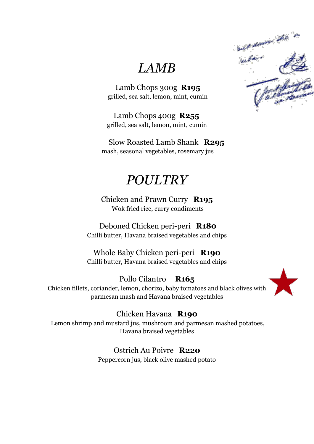*LAMB*

 Lamb Chops 300g **R195** grilled, sea salt, lemon, mint, cumin

 Lamb Chops 400g **R255** grilled, sea salt, lemon, mint, cumin

Slow Roasted Lamb Shank **R295** mash, seasonal vegetables, rosemary jus

## *POULTRY*

Chicken and Prawn Curry **R195** Wok fried rice, curry condiments

Deboned Chicken peri-peri **R180** Chilli butter, Havana braised vegetables and chips

Whole Baby Chicken peri-peri **R190** Chilli butter, Havana braised vegetables and chips

Pollo Cilantro **R165** Chicken fillets, coriander, lemon, chorizo, baby tomatoes and black olives with parmesan mash and Havana braised vegetables



### Chicken Havana **R190**

Lemon shrimp and mustard jus, mushroom and parmesan mashed potatoes, Havana braised vegetables

> Ostrich Au Poivre **R220** Peppercorn jus, black olive mashed potato

and down the in and down the Clark Bring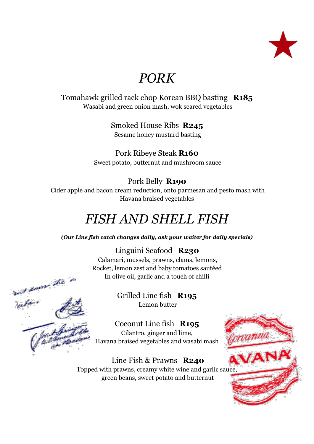

## *PORK*

Tomahawk grilled rack chop Korean BBQ basting **R185** Wasabi and green onion mash, wok seared vegetables

> Smoked House Ribs **R245** Sesame honey mustard basting

Pork Ribeye Steak **R160** Sweet potato, butternut and mushroom sauce

#### Pork Belly **R190**

Cider apple and bacon cream reduction, onto parmesan and pesto mash with Havana braised vegetables

# *FISH AND SHELL FISH*

*(Our Line fish catch changes daily, ask your waiter for daily specials)*

Linguini Seafood **R230**

Calamari, mussels, prawns, clams, lemons, Rocket, lemon zest and baby tomatoes sautéed In olive oil, garlic and a touch of chilli

and down the

sur<br>Victor

Grilled Line fish **R195** Lemon butter

Coconut Line fish **R195** Cilantro, ginger and lime, Havana braised vegetables and wasabi mash

Line Fish & Prawns **R240** Topped with prawns, creamy white wine and garlic sauce, green beans, sweet potato and butternut

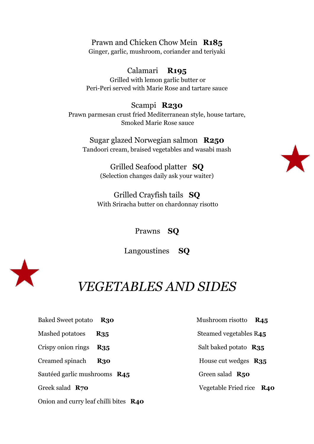Prawn and Chicken Chow Mein **R185** Ginger, garlic, mushroom, coriander and teriyaki

Calamari **R195** Grilled with lemon garlic butter or Peri-Peri served with Marie Rose and tartare sauce

Scampi **R230** Prawn parmesan crust fried Mediterranean style, house tartare, Smoked Marie Rose sauce

Sugar glazed Norwegian salmon **R250** Tandoori cream, braised vegetables and wasabi mash

> Grilled Seafood platter **SQ** (Selection changes daily ask your waiter)

Grilled Crayfish tails **SQ** With Sriracha butter on chardonnay risotto

Prawns **SQ**

Langoustines **SQ**



### *VEGETABLES AND SIDES*

- Baked Sweet potato **R30** Mushroom risotto **R45**
- 
- 
- Creamed spinach **R30** House cut wedges **R35**

Sautéed garlic mushrooms **R45** Green salad **R50** 

Onion and curry leaf chilli bites **R40**

Mashed potatoes **R35** Steamed vegetables R45

Crispy onion rings **R35** Salt baked potato **R35**

Greek salad **R70 Vegetable Fried rice <b>R40**